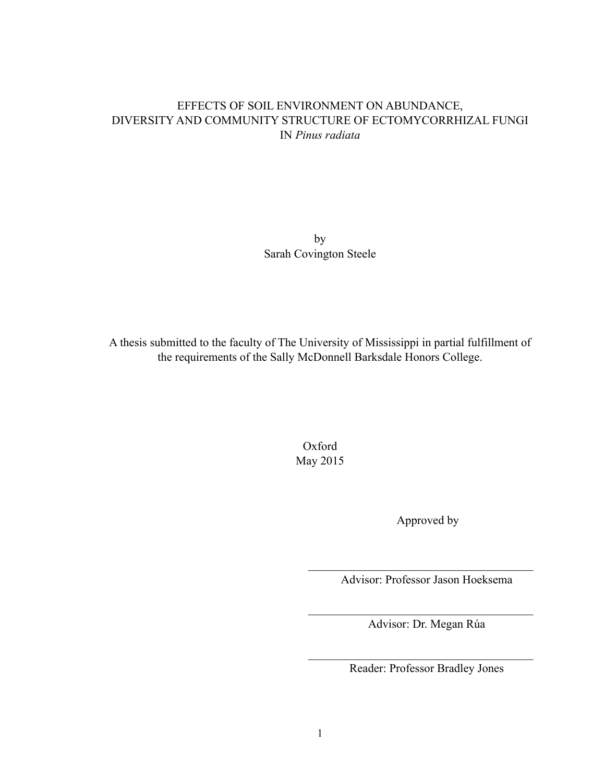# EFFECTS OF SOIL ENVIRONMENT ON ABUNDANCE, DIVERSITY AND COMMUNITY STRUCTURE OF ECTOMYCORRHIZAL FUNGI IN *Pinus radiata*

by Sarah Covington Steele

A thesis submitted to the faculty of The University of Mississippi in partial fulfillment of the requirements of the Sally McDonnell Barksdale Honors College.

> Oxford May 2015

> > Approved by

 $\mathcal{L}_\text{max}$ Advisor: Professor Jason Hoeksema

Advisor: Dr. Megan Rúa

 $\mathcal{L}_\text{max}$ 

 $\mathcal{L}_\text{max}$ 

Reader: Professor Bradley Jones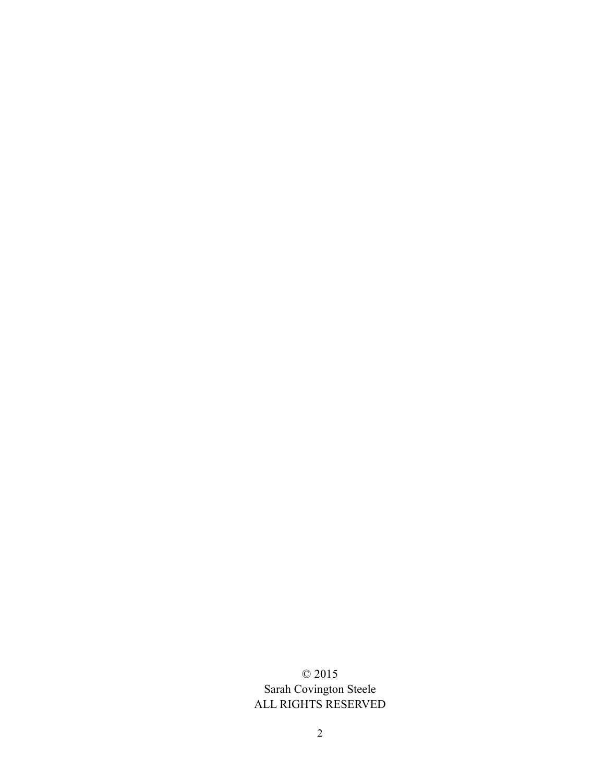# © 2015 Sarah Covington Steele ALL RIGHTS RESERVED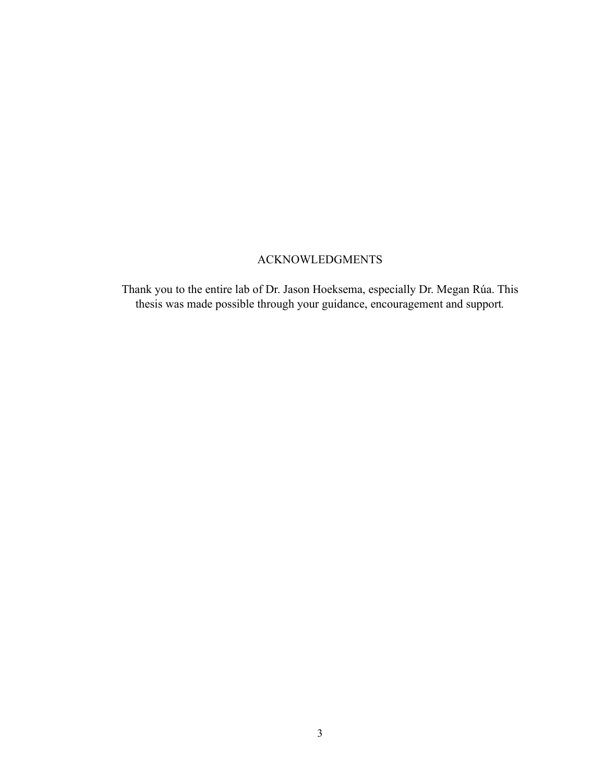# ACKNOWLEDGMENTS

Thank you to the entire lab of Dr. Jason Hoeksema, especially Dr. Megan Rúa. This thesis was made possible through your guidance, encouragement and support*.*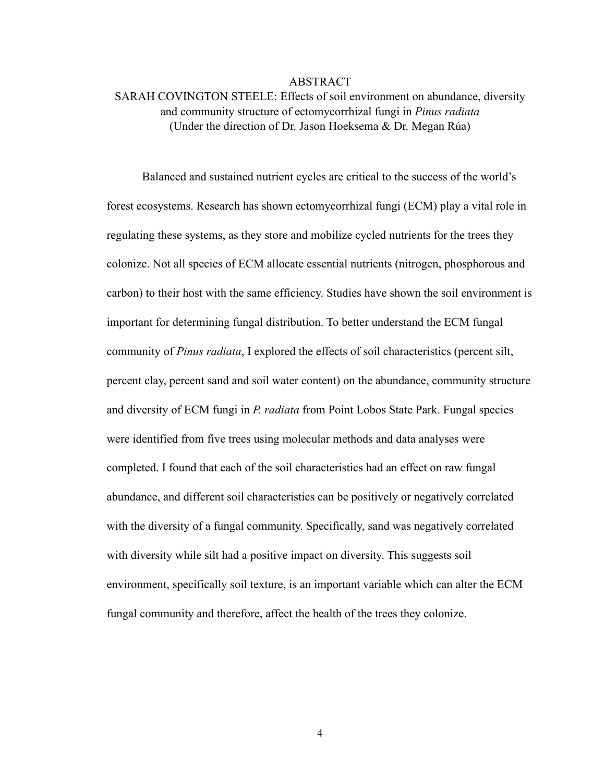#### ABSTRACT

# SARAH COVINGTON STEELE: Effects of soil environment on abundance, diversity and community structure of ectomycorrhizal fungi in *Pinus radiata* (Under the direction of Dr. Jason Hoeksema & Dr. Megan Rúa)

 Balanced and sustained nutrient cycles are critical to the success of the world's forest ecosystems. Research has shown ectomycorrhizal fungi (ECM) play a vital role in regulating these systems, as they store and mobilize cycled nutrients for the trees they colonize. Not all species of ECM allocate essential nutrients (nitrogen, phosphorous and carbon) to their host with the same efficiency. Studies have shown the soil environment is important for determining fungal distribution. To better understand the ECM fungal community of *Pinus radiata*, I explored the effects of soil characteristics (percent silt, percent clay, percent sand and soil water content) on the abundance, community structure and diversity of ECM fungi in *P. radiata* from Point Lobos State Park. Fungal species were identified from five trees using molecular methods and data analyses were completed. I found that each of the soil characteristics had an effect on raw fungal abundance, and different soil characteristics can be positively or negatively correlated with the diversity of a fungal community. Specifically, sand was negatively correlated with diversity while silt had a positive impact on diversity. This suggests soil environment, specifically soil texture, is an important variable which can alter the ECM fungal community and therefore, affect the health of the trees they colonize.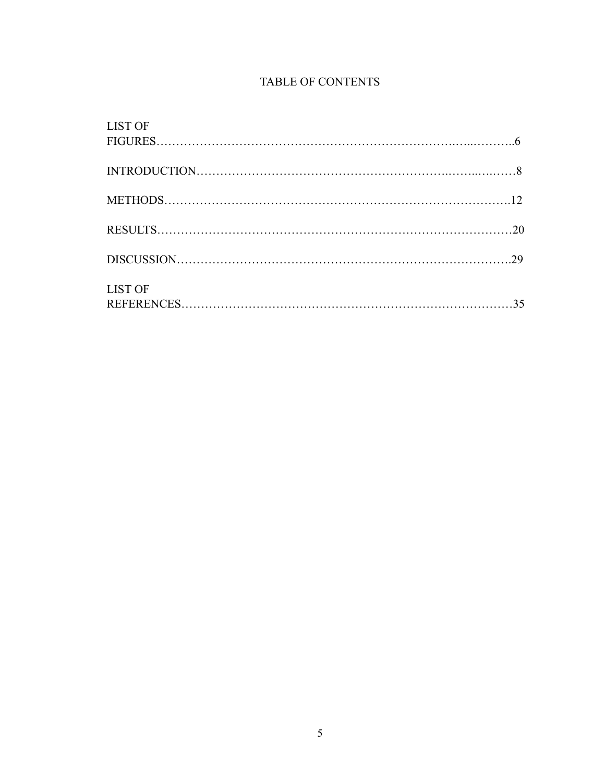# TABLE OF CONTENTS

| <b>LIST OF</b>         |  |
|------------------------|--|
| $FIGURES \dots 160001$ |  |
|                        |  |
|                        |  |
|                        |  |
|                        |  |
|                        |  |
|                        |  |
|                        |  |
|                        |  |
|                        |  |
| <b>LIST OF</b>         |  |
|                        |  |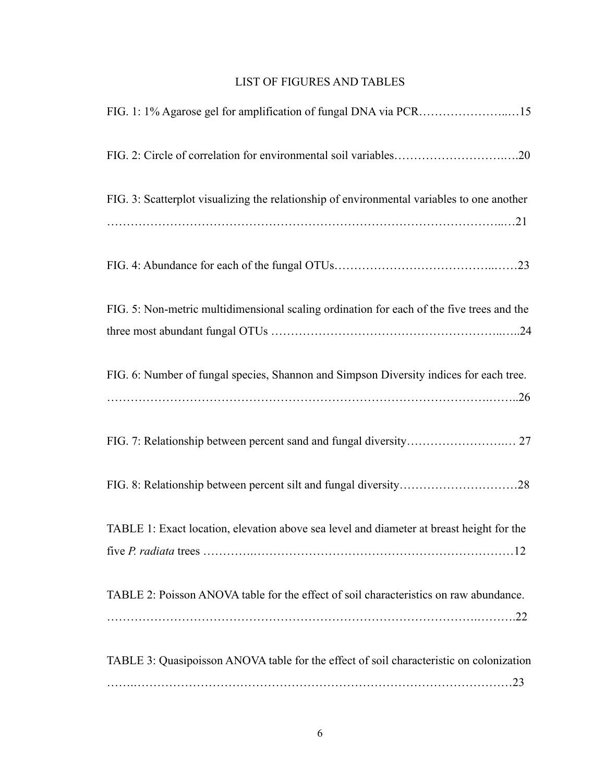# LIST OF FIGURES AND TABLES

| FIG. 3: Scatterplot visualizing the relationship of environmental variables to one another |
|--------------------------------------------------------------------------------------------|
|                                                                                            |
|                                                                                            |
| FIG. 5: Non-metric multidimensional scaling ordination for each of the five trees and the  |
|                                                                                            |
| FIG. 6: Number of fungal species, Shannon and Simpson Diversity indices for each tree.     |
|                                                                                            |
|                                                                                            |
|                                                                                            |
| TABLE 1: Exact location, elevation above sea level and diameter at breast height for the   |
|                                                                                            |
| TABLE 2: Poisson ANOVA table for the effect of soil characteristics on raw abundance.      |
|                                                                                            |
| TABLE 3: Quasipoisson ANOVA table for the effect of soil characteristic on colonization    |
|                                                                                            |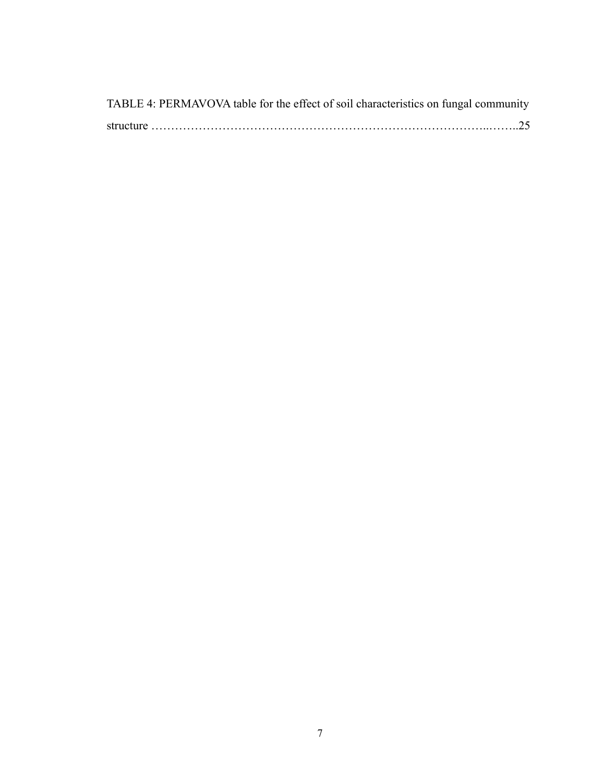| TABLE 4: PERMAVOVA table for the effect of soil characteristics on fungal community |
|-------------------------------------------------------------------------------------|
|                                                                                     |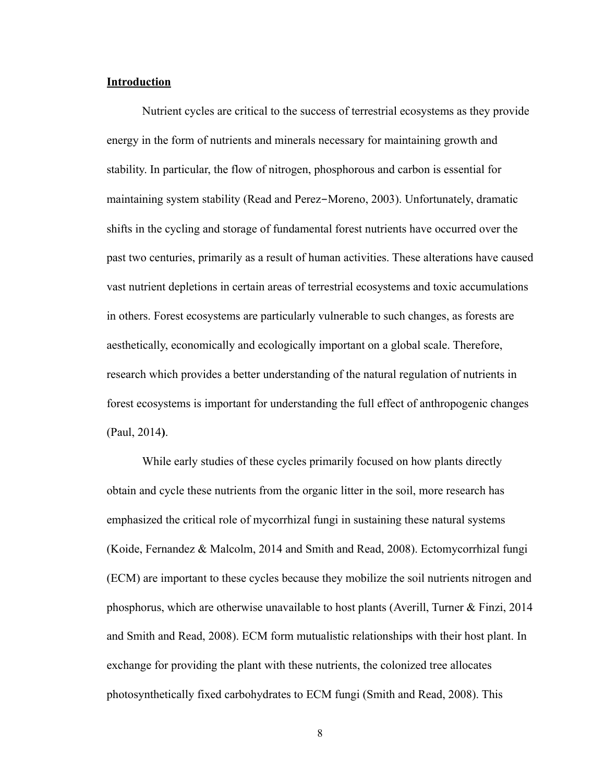#### **Introduction**

 Nutrient cycles are critical to the success of terrestrial ecosystems as they provide energy in the form of nutrients and minerals necessary for maintaining growth and stability. In particular, the flow of nitrogen, phosphorous and carbon is essential for maintaining system stability (Read and Perez-Moreno, 2003). Unfortunately, dramatic shifts in the cycling and storage of fundamental forest nutrients have occurred over the past two centuries, primarily as a result of human activities. These alterations have caused vast nutrient depletions in certain areas of terrestrial ecosystems and toxic accumulations in others. Forest ecosystems are particularly vulnerable to such changes, as forests are aesthetically, economically and ecologically important on a global scale. Therefore, research which provides a better understanding of the natural regulation of nutrients in forest ecosystems is important for understanding the full effect of anthropogenic changes (Paul, 2014**)**.

 While early studies of these cycles primarily focused on how plants directly obtain and cycle these nutrients from the organic litter in the soil, more research has emphasized the critical role of mycorrhizal fungi in sustaining these natural systems (Koide, Fernandez & Malcolm, 2014 and Smith and Read, 2008). Ectomycorrhizal fungi (ECM) are important to these cycles because they mobilize the soil nutrients nitrogen and phosphorus, which are otherwise unavailable to host plants (Averill, Turner  $\&$  Finzi, 2014 and Smith and Read, 2008). ECM form mutualistic relationships with their host plant. In exchange for providing the plant with these nutrients, the colonized tree allocates photosynthetically fixed carbohydrates to ECM fungi (Smith and Read, 2008). This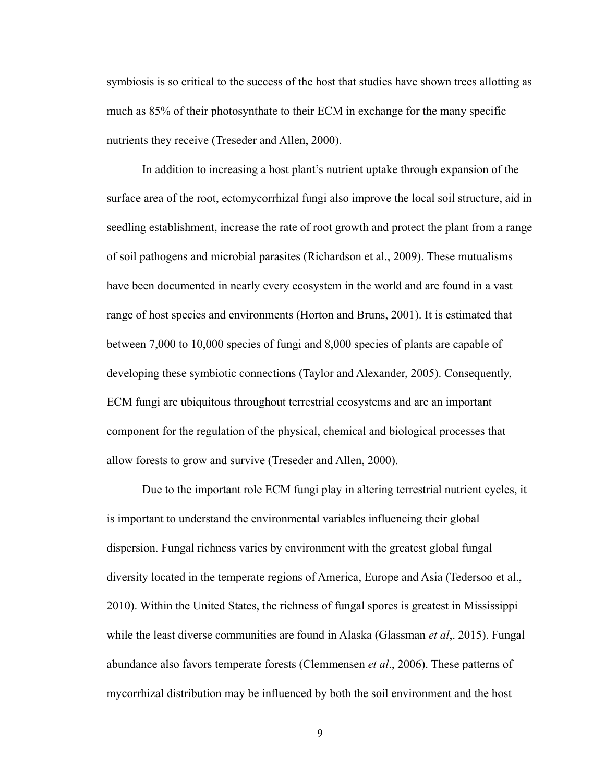symbiosis is so critical to the success of the host that studies have shown trees allotting as much as 85% of their photosynthate to their ECM in exchange for the many specific nutrients they receive (Treseder and Allen, 2000).

 In addition to increasing a host plant's nutrient uptake through expansion of the surface area of the root, ectomycorrhizal fungi also improve the local soil structure, aid in seedling establishment, increase the rate of root growth and protect the plant from a range of soil pathogens and microbial parasites (Richardson et al., 2009). These mutualisms have been documented in nearly every ecosystem in the world and are found in a vast range of host species and environments (Horton and Bruns, 2001). It is estimated that between 7,000 to 10,000 species of fungi and 8,000 species of plants are capable of developing these symbiotic connections (Taylor and Alexander, 2005). Consequently, ECM fungi are ubiquitous throughout terrestrial ecosystems and are an important component for the regulation of the physical, chemical and biological processes that allow forests to grow and survive (Treseder and Allen, 2000).

 Due to the important role ECM fungi play in altering terrestrial nutrient cycles, it is important to understand the environmental variables influencing their global dispersion. Fungal richness varies by environment with the greatest global fungal diversity located in the temperate regions of America, Europe and Asia (Tedersoo et al., 2010). Within the United States, the richness of fungal spores is greatest in Mississippi while the least diverse communities are found in Alaska (Glassman *et al*,. 2015). Fungal abundance also favors temperate forests (Clemmensen *et al*., 2006). These patterns of mycorrhizal distribution may be influenced by both the soil environment and the host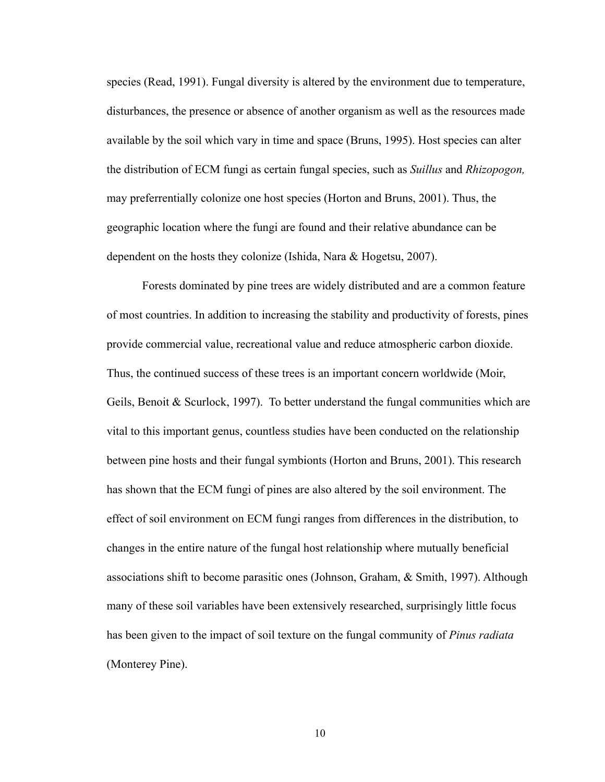species (Read, 1991). Fungal diversity is altered by the environment due to temperature, disturbances, the presence or absence of another organism as well as the resources made available by the soil which vary in time and space (Bruns, 1995). Host species can alter the distribution of ECM fungi as certain fungal species, such as *Suillus* and *Rhizopogon,*  may preferrentially colonize one host species (Horton and Bruns, 2001). Thus, the geographic location where the fungi are found and their relative abundance can be dependent on the hosts they colonize (Ishida, Nara & Hogetsu, 2007).

 Forests dominated by pine trees are widely distributed and are a common feature of most countries. In addition to increasing the stability and productivity of forests, pines provide commercial value, recreational value and reduce atmospheric carbon dioxide. Thus, the continued success of these trees is an important concern worldwide (Moir, Geils, Benoit & Scurlock, 1997). To better understand the fungal communities which are vital to this important genus, countless studies have been conducted on the relationship between pine hosts and their fungal symbionts (Horton and Bruns, 2001). This research has shown that the ECM fungi of pines are also altered by the soil environment. The effect of soil environment on ECM fungi ranges from differences in the distribution, to changes in the entire nature of the fungal host relationship where mutually beneficial associations shift to become parasitic ones (Johnson, Graham, & Smith, 1997). Although many of these soil variables have been extensively researched, surprisingly little focus has been given to the impact of soil texture on the fungal community of *Pinus radiata*  (Monterey Pine).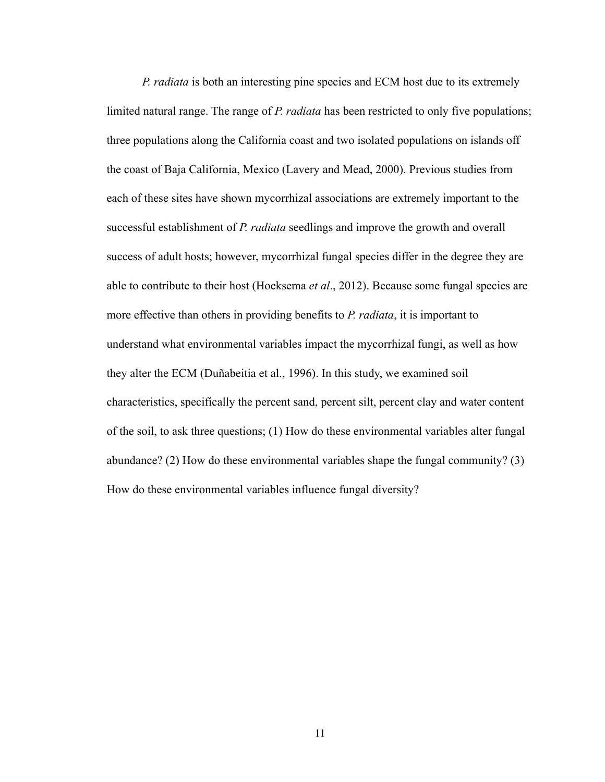*P. radiata* is both an interesting pine species and ECM host due to its extremely limited natural range. The range of *P. radiata* has been restricted to only five populations; three populations along the California coast and two isolated populations on islands off the coast of Baja California, Mexico (Lavery and Mead, 2000). Previous studies from each of these sites have shown mycorrhizal associations are extremely important to the successful establishment of *P. radiata* seedlings and improve the growth and overall success of adult hosts; however, mycorrhizal fungal species differ in the degree they are able to contribute to their host (Hoeksema *et al*., 2012). Because some fungal species are more effective than others in providing benefits to *P. radiata*, it is important to understand what environmental variables impact the mycorrhizal fungi, as well as how they alter the ECM (Duñabeitia et al., 1996). In this study, we examined soil characteristics, specifically the percent sand, percent silt, percent clay and water content of the soil, to ask three questions; (1) How do these environmental variables alter fungal abundance? (2) How do these environmental variables shape the fungal community? (3) How do these environmental variables influence fungal diversity?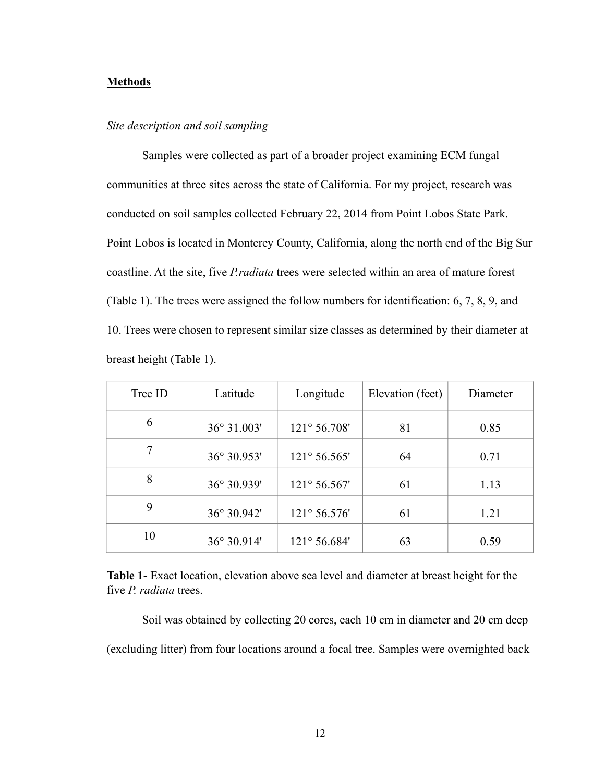### **Methods**

#### *Site description and soil sampling*

 Samples were collected as part of a broader project examining ECM fungal communities at three sites across the state of California. For my project, research was conducted on soil samples collected February 22, 2014 from Point Lobos State Park. Point Lobos is located in Monterey County, California, along the north end of the Big Sur coastline. At the site, five *P.radiata* trees were selected within an area of mature forest (Table 1). The trees were assigned the follow numbers for identification: 6, 7, 8, 9, and 10. Trees were chosen to represent similar size classes as determined by their diameter at breast height (Table 1).

| Tree ID | Latitude    | Longitude             | Elevation (feet) | Diameter |
|---------|-------------|-----------------------|------------------|----------|
| 6       | 36° 31.003' | $121^{\circ} 56.708'$ | 81               | 0.85     |
|         | 36° 30.953' | $121^{\circ} 56.565'$ | 64               | 0.71     |
| 8       | 36° 30.939' | $121^{\circ} 56.567'$ | 61               | 1.13     |
| 9       | 36° 30.942' | $121^{\circ} 56.576'$ | 61               | 1.21     |
| 10      | 36° 30.914' | 121° 56.684'          | 63               | 0.59     |

**Table 1-** Exact location, elevation above sea level and diameter at breast height for the five *P. radiata* trees.

 Soil was obtained by collecting 20 cores, each 10 cm in diameter and 20 cm deep (excluding litter) from four locations around a focal tree. Samples were overnighted back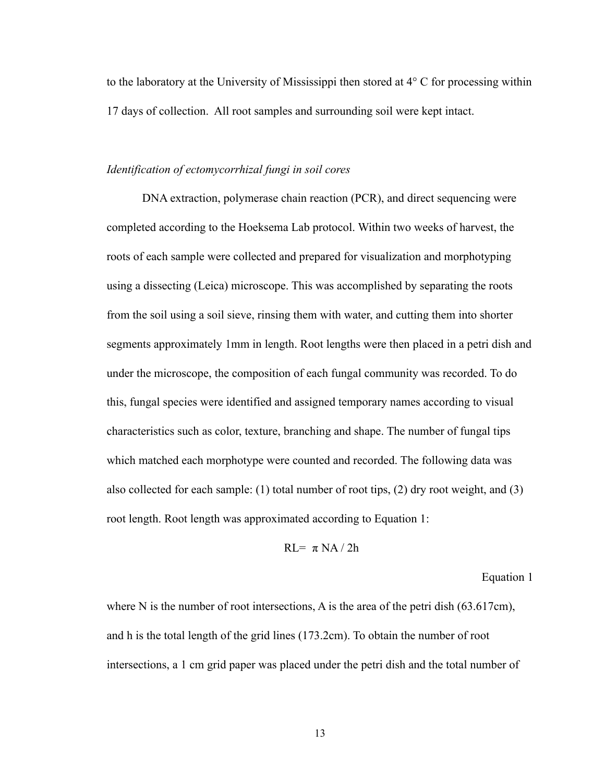to the laboratory at the University of Mississippi then stored at 4° C for processing within 17 days of collection. All root samples and surrounding soil were kept intact.

#### *Identification of ectomycorrhizal fungi in soil cores*

 DNA extraction, polymerase chain reaction (PCR), and direct sequencing were completed according to the Hoeksema Lab protocol. Within two weeks of harvest, the roots of each sample were collected and prepared for visualization and morphotyping using a dissecting (Leica) microscope. This was accomplished by separating the roots from the soil using a soil sieve, rinsing them with water, and cutting them into shorter segments approximately 1mm in length. Root lengths were then placed in a petri dish and under the microscope, the composition of each fungal community was recorded. To do this, fungal species were identified and assigned temporary names according to visual characteristics such as color, texture, branching and shape. The number of fungal tips which matched each morphotype were counted and recorded. The following data was also collected for each sample: (1) total number of root tips, (2) dry root weight, and (3) root length. Root length was approximated according to Equation 1:

$$
RL = \pi NA / 2h
$$

Equation 1

where N is the number of root intersections, A is the area of the petri dish (63.617cm), and h is the total length of the grid lines (173.2cm). To obtain the number of root intersections, a 1 cm grid paper was placed under the petri dish and the total number of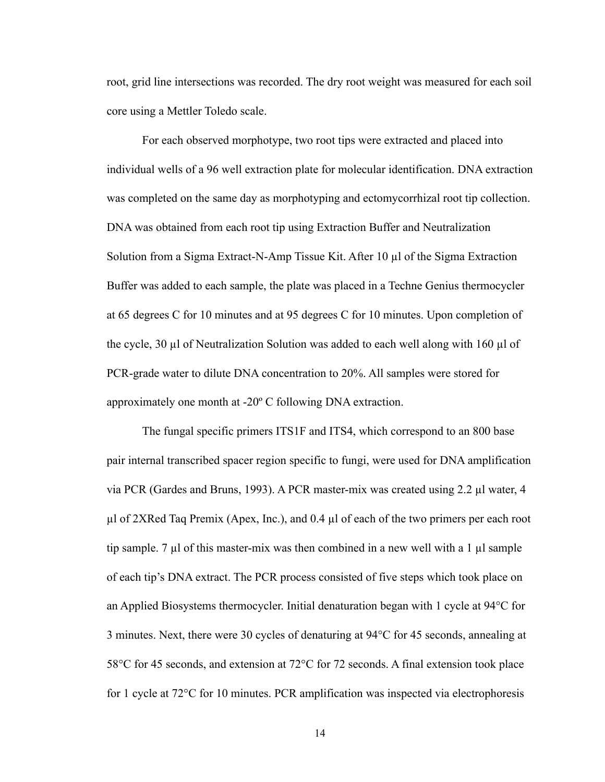root, grid line intersections was recorded. The dry root weight was measured for each soil core using a Mettler Toledo scale.

 For each observed morphotype, two root tips were extracted and placed into individual wells of a 96 well extraction plate for molecular identification. DNA extraction was completed on the same day as morphotyping and ectomycorrhizal root tip collection. DNA was obtained from each root tip using Extraction Buffer and Neutralization Solution from a Sigma Extract-N-Amp Tissue Kit. After 10 µl of the Sigma Extraction Buffer was added to each sample, the plate was placed in a Techne Genius thermocycler at 65 degrees C for 10 minutes and at 95 degrees C for 10 minutes. Upon completion of the cycle, 30  $\mu$ l of Neutralization Solution was added to each well along with 160  $\mu$ l of PCR-grade water to dilute DNA concentration to 20%. All samples were stored for approximately one month at -20º C following DNA extraction.

The fungal specific primers ITS1F and ITS4, which correspond to an 800 base pair internal transcribed spacer region specific to fungi, were used for DNA amplification via PCR (Gardes and Bruns, 1993). A PCR master-mix was created using 2.2 µl water, 4 µl of 2XRed Taq Premix (Apex, Inc.), and 0.4 µl of each of the two primers per each root tip sample. 7 µl of this master-mix was then combined in a new well with a 1 µl sample of each tip's DNA extract. The PCR process consisted of five steps which took place on an Applied Biosystems thermocycler. Initial denaturation began with 1 cycle at 94°C for 3 minutes. Next, there were 30 cycles of denaturing at 94°C for 45 seconds, annealing at 58°C for 45 seconds, and extension at 72°C for 72 seconds. A final extension took place for 1 cycle at 72°C for 10 minutes. PCR amplification was inspected via electrophoresis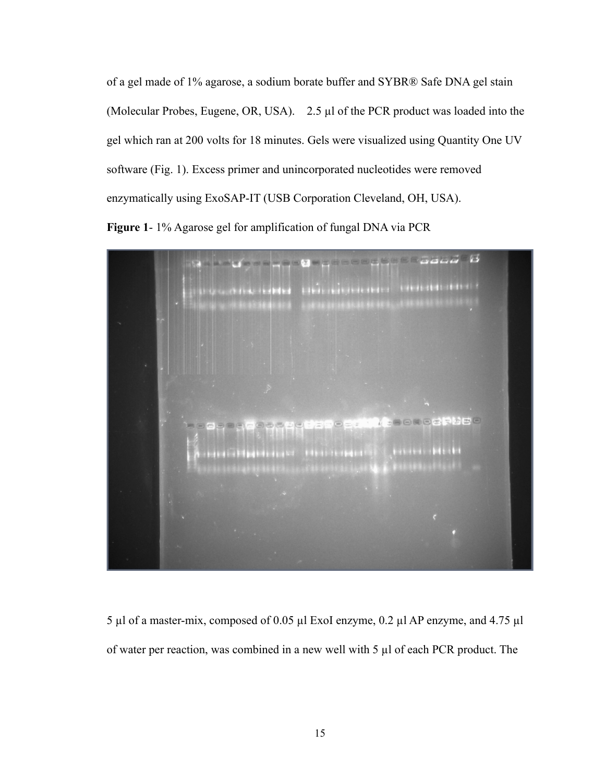of a gel made of 1% agarose, a sodium borate buffer and SYBR® Safe DNA gel stain (Molecular Probes, Eugene, OR, USA). 2.5 µl of the PCR product was loaded into the gel which ran at 200 volts for 18 minutes. Gels were visualized using Quantity One UV software (Fig. 1). Excess primer and unincorporated nucleotides were removed enzymatically using ExoSAP-IT (USB Corporation Cleveland, OH, USA).

**Figure 1**- 1% Agarose gel for amplification of fungal DNA via PCR



5 µl of a master-mix, composed of 0.05 µl ExoI enzyme, 0.2 µl AP enzyme, and 4.75 µl of water per reaction, was combined in a new well with 5 µl of each PCR product. The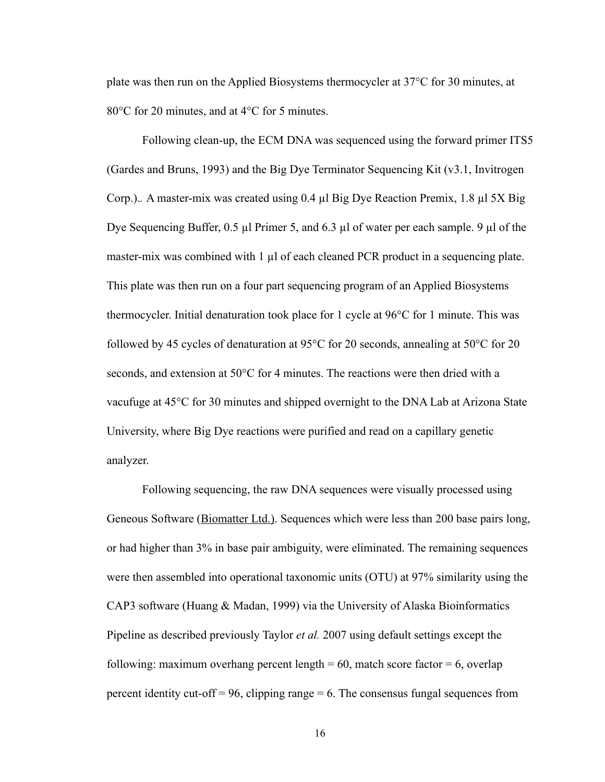plate was then run on the Applied Biosystems thermocycler at 37°C for 30 minutes, at 80°C for 20 minutes, and at 4°C for 5 minutes.

 Following clean-up, the ECM DNA was sequenced using the forward primer ITS5 (Gardes and Bruns, 1993) and the Big Dye Terminator Sequencing Kit (v3.1, Invitrogen Corp.).*.* A master-mix was created using 0.4 µl Big Dye Reaction Premix, 1.8 µl 5X Big Dye Sequencing Buffer, 0.5 µl Primer 5, and 6.3 µl of water per each sample. 9 µl of the master-mix was combined with 1 µl of each cleaned PCR product in a sequencing plate. This plate was then run on a four part sequencing program of an Applied Biosystems thermocycler. Initial denaturation took place for 1 cycle at 96°C for 1 minute. This was followed by 45 cycles of denaturation at 95°C for 20 seconds, annealing at 50°C for 20 seconds, and extension at 50°C for 4 minutes. The reactions were then dried with a vacufuge at 45°C for 30 minutes and shipped overnight to the DNA Lab at Arizona State University, where Big Dye reactions were purified and read on a capillary genetic analyzer.

 Following sequencing, the raw DNA sequences were visually processed using Geneous Software (Biomatter Ltd.). Sequences which were less than 200 base pairs long, or had higher than 3% in base pair ambiguity, were eliminated. The remaining sequences were then assembled into operational taxonomic units (OTU) at 97% similarity using the CAP3 software (Huang & Madan, 1999) via the University of Alaska Bioinformatics Pipeline as described previously Taylor *et al.* 2007 using default settings except the following: maximum overhang percent length  $= 60$ , match score factor  $= 6$ , overlap percent identity cut-off  $= 96$ , clipping range  $= 6$ . The consensus fungal sequences from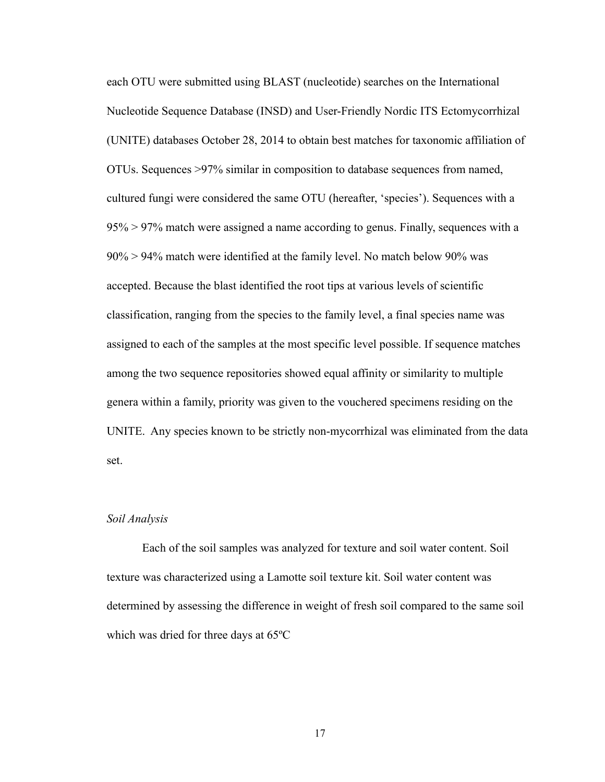each OTU were submitted using BLAST (nucleotide) searches on the International Nucleotide Sequence Database (INSD) and User-Friendly Nordic ITS Ectomycorrhizal (UNITE) databases October 28, 2014 to obtain best matches for taxonomic affiliation of OTUs. Sequences >97% similar in composition to database sequences from named, cultured fungi were considered the same OTU (hereafter, 'species'). Sequences with a 95% > 97% match were assigned a name according to genus. Finally, sequences with a 90% > 94% match were identified at the family level. No match below 90% was accepted. Because the blast identified the root tips at various levels of scientific classification, ranging from the species to the family level, a final species name was assigned to each of the samples at the most specific level possible. If sequence matches among the two sequence repositories showed equal affinity or similarity to multiple genera within a family, priority was given to the vouchered specimens residing on the UNITE. Any species known to be strictly non-mycorrhizal was eliminated from the data set.

#### *Soil Analysis*

 Each of the soil samples was analyzed for texture and soil water content. Soil texture was characterized using a Lamotte soil texture kit. Soil water content was determined by assessing the difference in weight of fresh soil compared to the same soil which was dried for three days at 65ºC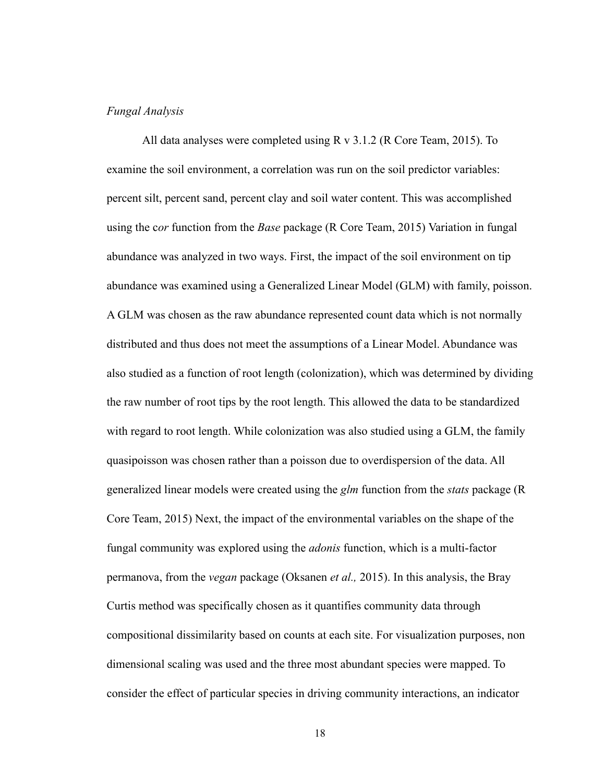#### *Fungal Analysis*

 All data analyses were completed using R v 3.1.2 (R Core Team, 2015). To examine the soil environment, a correlation was run on the soil predictor variables: percent silt, percent sand, percent clay and soil water content. This was accomplished using the c*or* function from the *Base* package (R Core Team, 2015) Variation in fungal abundance was analyzed in two ways. First, the impact of the soil environment on tip abundance was examined using a Generalized Linear Model (GLM) with family, poisson. A GLM was chosen as the raw abundance represented count data which is not normally distributed and thus does not meet the assumptions of a Linear Model. Abundance was also studied as a function of root length (colonization), which was determined by dividing the raw number of root tips by the root length. This allowed the data to be standardized with regard to root length. While colonization was also studied using a GLM, the family quasipoisson was chosen rather than a poisson due to overdispersion of the data. All generalized linear models were created using the *glm* function from the *stats* package (R Core Team, 2015) Next, the impact of the environmental variables on the shape of the fungal community was explored using the *adonis* function, which is a multi-factor permanova, from the *vegan* package (Oksanen *et al.,* 2015). In this analysis, the Bray Curtis method was specifically chosen as it quantifies community data through compositional dissimilarity based on counts at each site. For visualization purposes, non dimensional scaling was used and the three most abundant species were mapped. To consider the effect of particular species in driving community interactions, an indicator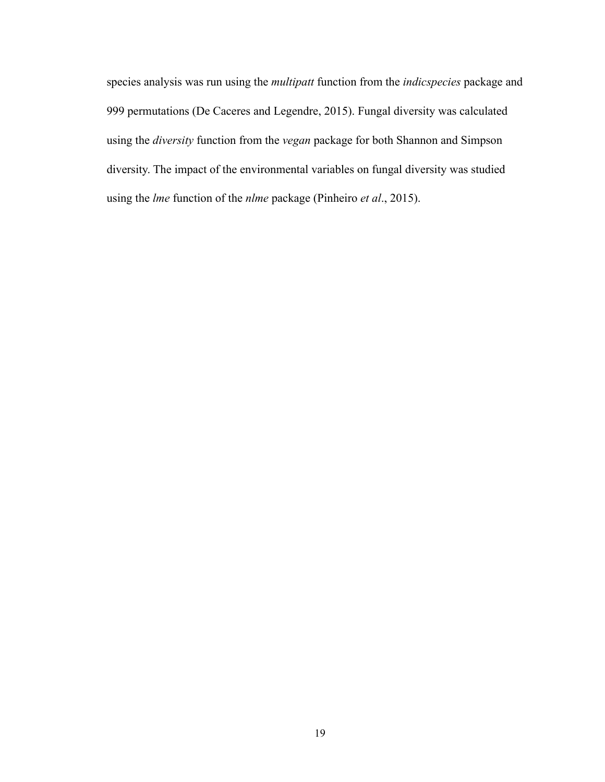species analysis was run using the *multipatt* function from the *indicspecies* package and 999 permutations (De Caceres and Legendre, 2015). Fungal diversity was calculated using the *diversity* function from the *vegan* package for both Shannon and Simpson diversity. The impact of the environmental variables on fungal diversity was studied using the *lme* function of the *nlme* package (Pinheiro *et al*., 2015).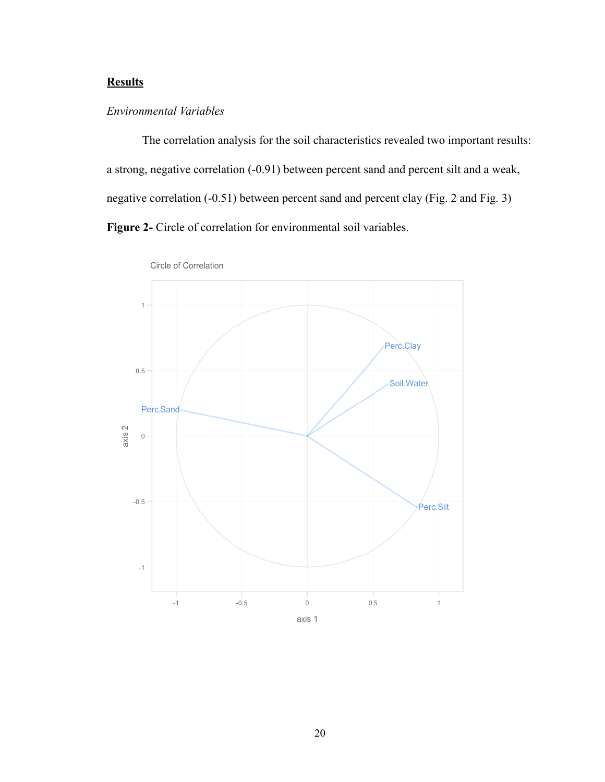## **Results**

## *Environmental Variables*

 The correlation analysis for the soil characteristics revealed two important results: a strong, negative correlation (-0.91) between percent sand and percent silt and a weak, negative correlation (-0.51) between percent sand and percent clay (Fig. 2 and Fig. 3) **Figure 2-** Circle of correlation for environmental soil variables.



Circle of Correlation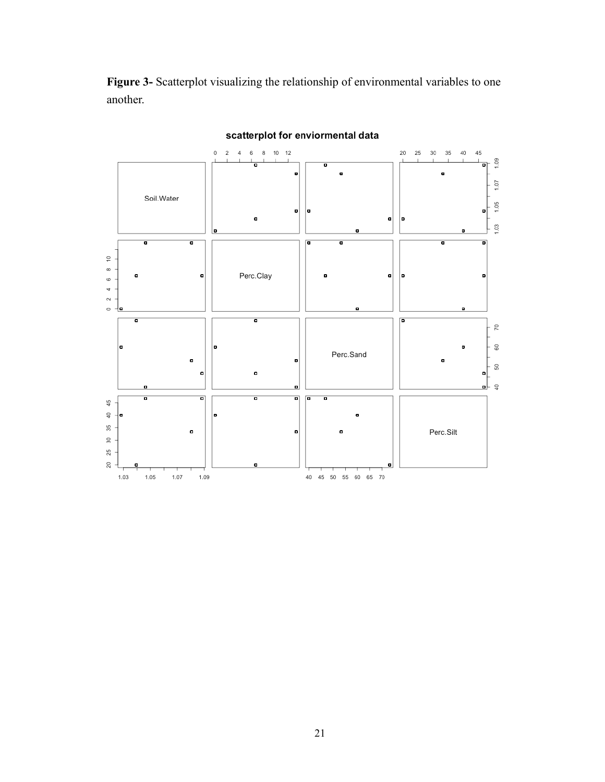**Figure 3-** Scatterplot visualizing the relationship of environmental variables to one another.



## scatterplot for enviormental data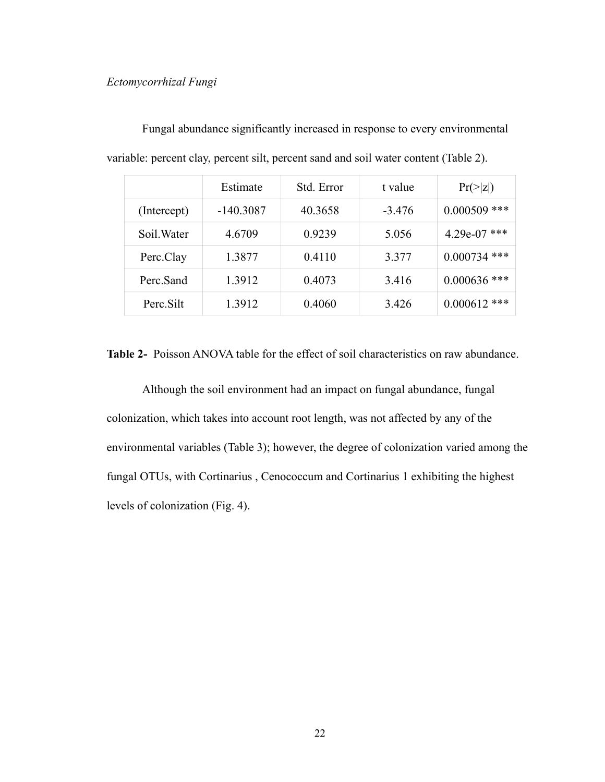### *Ectomycorrhizal Fungi*

|             | Estimate    | Std. Error | t value  | $Pr(>\vert z \vert)$ |
|-------------|-------------|------------|----------|----------------------|
| (Intercept) | $-140.3087$ | 40.3658    | $-3.476$ | ***<br>0.000509      |
| Soil. Water | 4.6709      | 0.9239     | 5.056    | 4.29e-07 ***         |
| Perc.Clay   | 1.3877      | 0.4110     | 3.377    | ***<br>0.000734      |
| Perc.Sand   | 1.3912      | 0.4073     | 3.416    | $0.000636$ ***       |
| Perc.Silt   | 1.3912      | 0.4060     | 3.426    | $0.000612$ ***       |

 Fungal abundance significantly increased in response to every environmental variable: percent clay, percent silt, percent sand and soil water content (Table 2).

**Table 2-** Poisson ANOVA table for the effect of soil characteristics on raw abundance.

 Although the soil environment had an impact on fungal abundance, fungal colonization, which takes into account root length, was not affected by any of the environmental variables (Table 3); however, the degree of colonization varied among the fungal OTUs, with Cortinarius , Cenococcum and Cortinarius 1 exhibiting the highest levels of colonization (Fig. 4).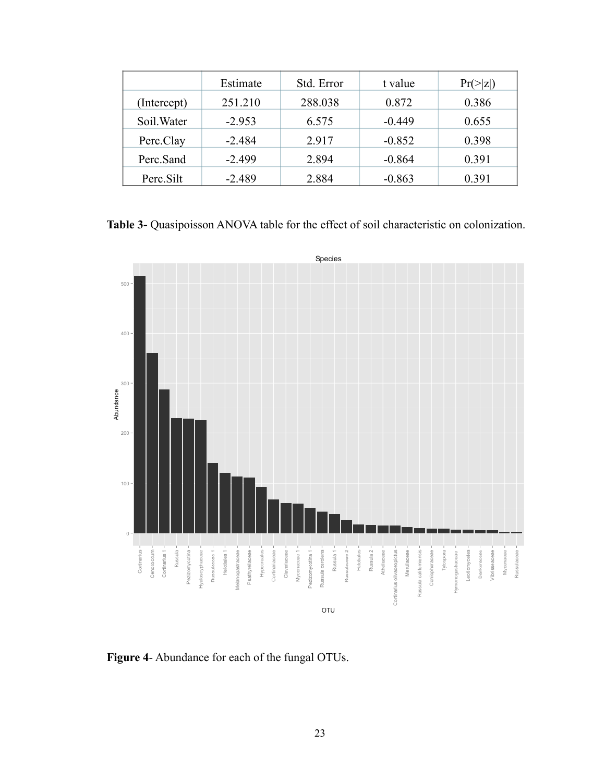|             | Estimate | Std. Error | t value  | $Pr(>\vert z \vert)$ |
|-------------|----------|------------|----------|----------------------|
| (Intercept) | 251.210  | 288.038    | 0.872    | 0.386                |
| Soil. Water | $-2.953$ | 6.575      | $-0.449$ | 0.655                |
| Perc.Clay   | $-2.484$ | 2.917      | $-0.852$ | 0.398                |
| Perc.Sand   | $-2.499$ | 2.894      | $-0.864$ | 0.391                |
| Perc.Silt   | $-2.489$ | 2.884      | $-0.863$ | 0.391                |

**Table 3-** Quasipoisson ANOVA table for the effect of soil characteristic on colonization.



**Figure 4**- Abundance for each of the fungal OTUs.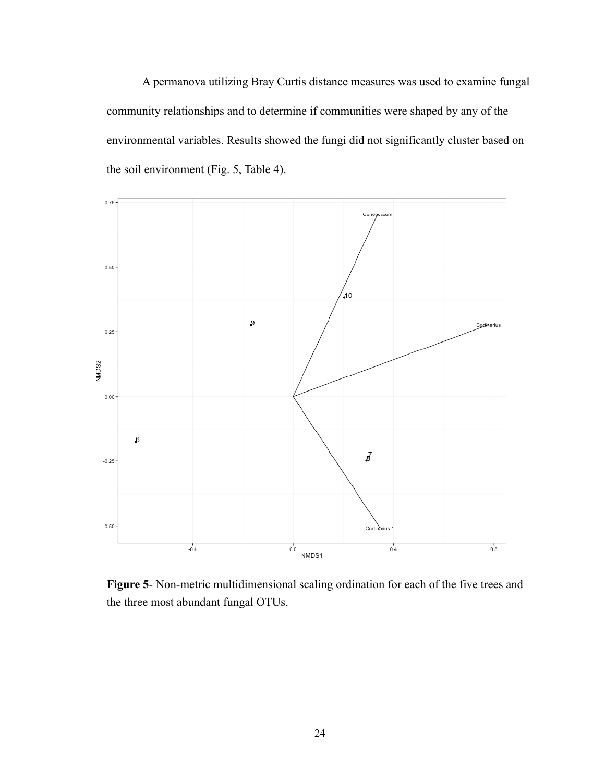A permanova utilizing Bray Curtis distance measures was used to examine fungal community relationships and to determine if communities were shaped by any of the environmental variables. Results showed the fungi did not significantly cluster based on the soil environment (Fig. 5, Table 4).



**Figure 5**- Non-metric multidimensional scaling ordination for each of the five trees and the three most abundant fungal OTUs.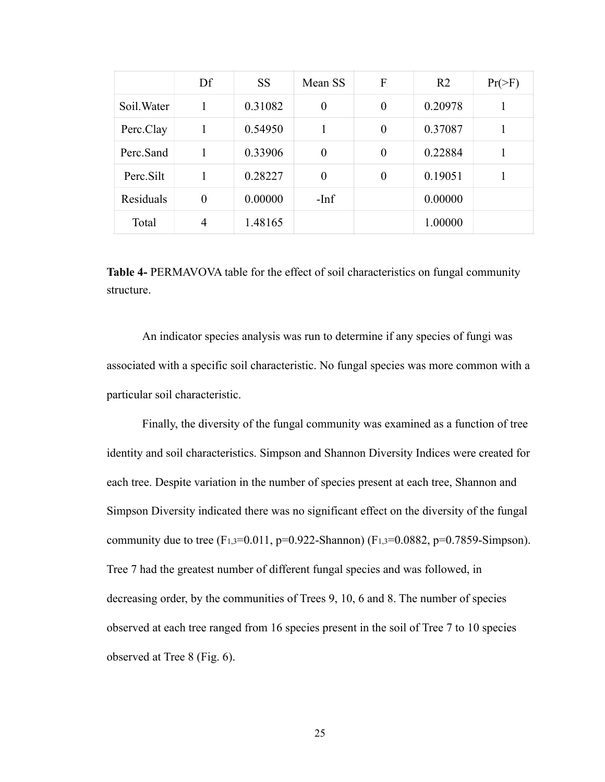|             | Df       | <b>SS</b> | Mean SS  | F        | R <sub>2</sub> | $Pr(>\)$ |
|-------------|----------|-----------|----------|----------|----------------|----------|
| Soil. Water | 1        | 0.31082   | $\theta$ | $\theta$ | 0.20978        |          |
| Perc.Clay   | 1        | 0.54950   |          | $\theta$ | 0.37087        |          |
| Perc.Sand   | 1        | 0.33906   | $\theta$ | $\theta$ | 0.22884        |          |
| Perc.Silt   |          | 0.28227   | $\theta$ | $\theta$ | 0.19051        |          |
| Residuals   | $\theta$ | 0.00000   | $-Inf$   |          | 0.00000        |          |
| Total       | 4        | 1.48165   |          |          | 1.00000        |          |

**Table 4-** PERMAVOVA table for the effect of soil characteristics on fungal community structure.

 An indicator species analysis was run to determine if any species of fungi was associated with a specific soil characteristic. No fungal species was more common with a particular soil characteristic.

 Finally, the diversity of the fungal community was examined as a function of tree identity and soil characteristics. Simpson and Shannon Diversity Indices were created for each tree. Despite variation in the number of species present at each tree, Shannon and Simpson Diversity indicated there was no significant effect on the diversity of the fungal community due to tree (F<sub>1,3</sub>=0.011, p=0.922-Shannon) (F<sub>1,3</sub>=0.0882, p=0.7859-Simpson). Tree 7 had the greatest number of different fungal species and was followed, in decreasing order, by the communities of Trees 9, 10, 6 and 8. The number of species observed at each tree ranged from 16 species present in the soil of Tree 7 to 10 species observed at Tree 8 (Fig. 6).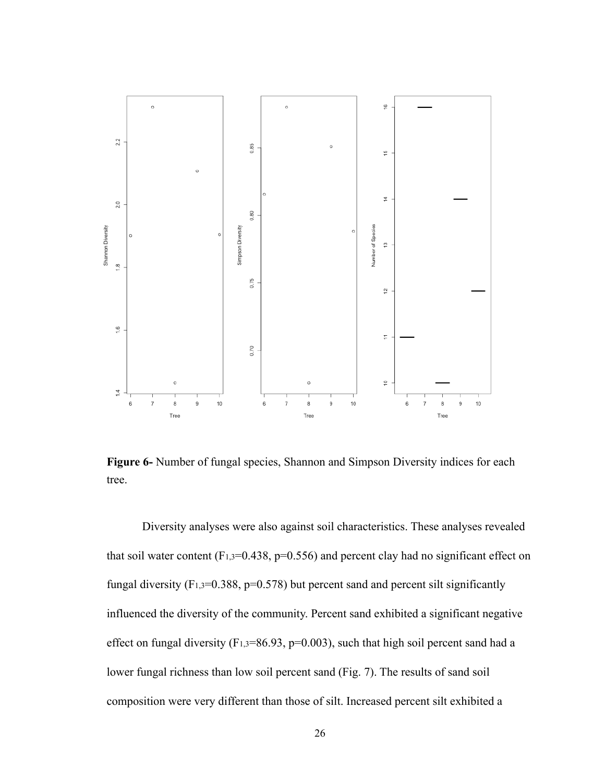

**Figure 6-** Number of fungal species, Shannon and Simpson Diversity indices for each tree.

 Diversity analyses were also against soil characteristics. These analyses revealed that soil water content  $(F_{1,3}=0.438, p=0.556)$  and percent clay had no significant effect on fungal diversity (F<sub>1,3</sub>=0.388, p=0.578) but percent sand and percent silt significantly influenced the diversity of the community. Percent sand exhibited a significant negative effect on fungal diversity ( $F_{1,3}=86.93$ ,  $p=0.003$ ), such that high soil percent sand had a lower fungal richness than low soil percent sand (Fig. 7). The results of sand soil composition were very different than those of silt. Increased percent silt exhibited a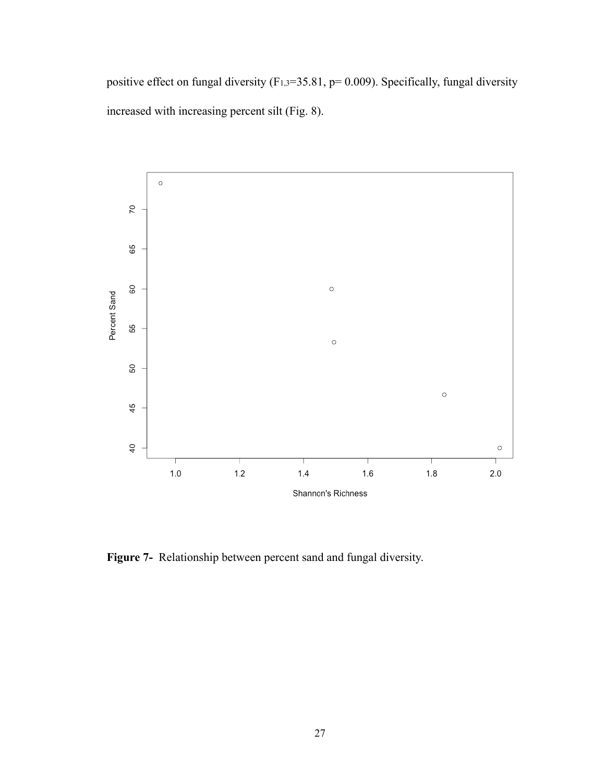positive effect on fungal diversity  $(F_{1,3}=35.81, p= 0.009)$ . Specifically, fungal diversity increased with increasing percent silt (Fig. 8).



**Figure 7-** Relationship between percent sand and fungal diversity.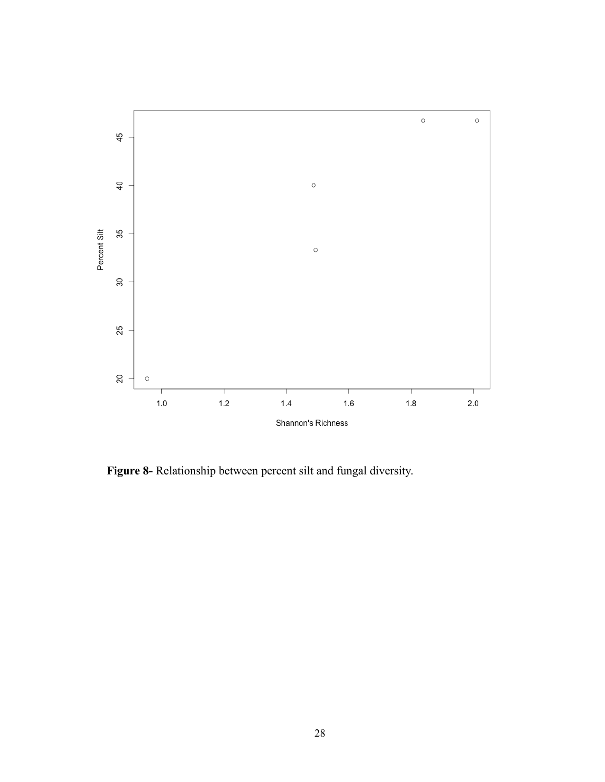

**Figure 8-** Relationship between percent silt and fungal diversity.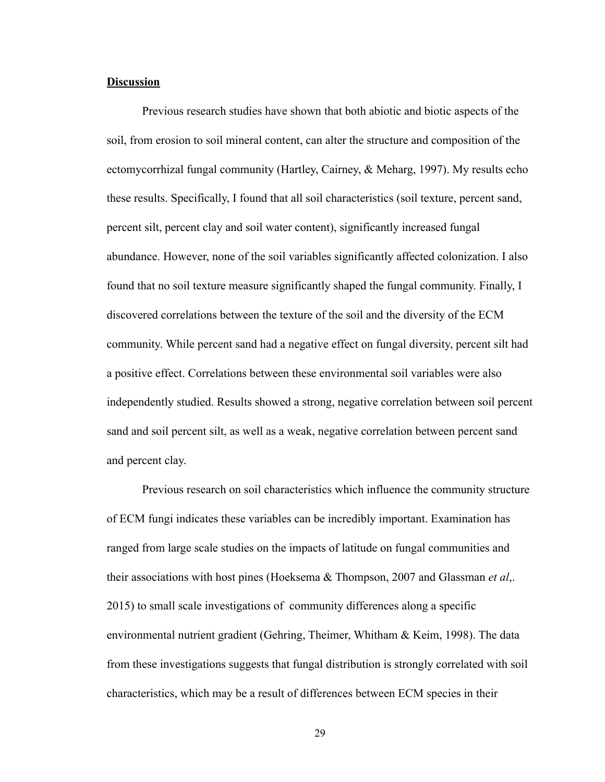#### **Discussion**

 Previous research studies have shown that both abiotic and biotic aspects of the soil, from erosion to soil mineral content, can alter the structure and composition of the ectomycorrhizal fungal community (Hartley, Cairney, & Meharg, 1997). My results echo these results. Specifically, I found that all soil characteristics (soil texture, percent sand, percent silt, percent clay and soil water content), significantly increased fungal abundance. However, none of the soil variables significantly affected colonization. I also found that no soil texture measure significantly shaped the fungal community. Finally, I discovered correlations between the texture of the soil and the diversity of the ECM community. While percent sand had a negative effect on fungal diversity, percent silt had a positive effect. Correlations between these environmental soil variables were also independently studied. Results showed a strong, negative correlation between soil percent sand and soil percent silt, as well as a weak, negative correlation between percent sand and percent clay.

 Previous research on soil characteristics which influence the community structure of ECM fungi indicates these variables can be incredibly important. Examination has ranged from large scale studies on the impacts of latitude on fungal communities and their associations with host pines (Hoeksema & Thompson, 2007 and Glassman *et al*,. 2015) to small scale investigations of community differences along a specific environmental nutrient gradient (Gehring, Theimer, Whitham & Keim, 1998). The data from these investigations suggests that fungal distribution is strongly correlated with soil characteristics, which may be a result of differences between ECM species in their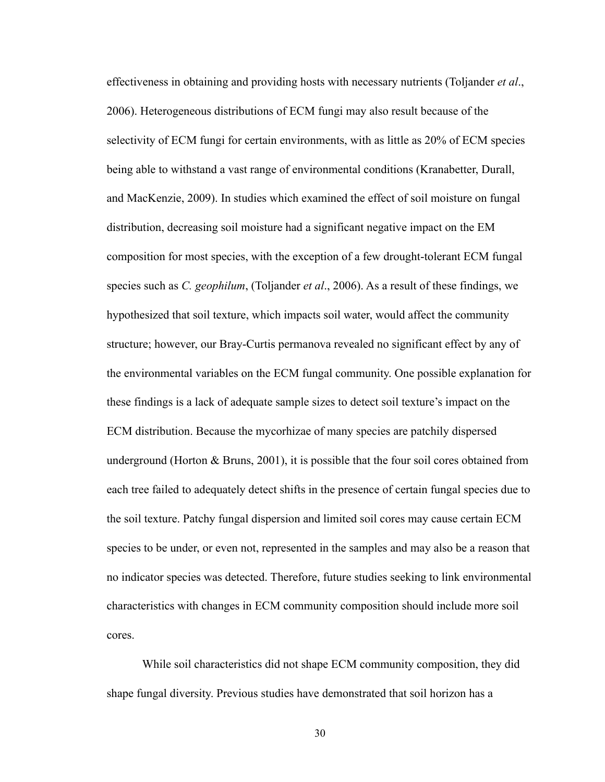effectiveness in obtaining and providing hosts with necessary nutrients (Toljander *et al*., 2006). Heterogeneous distributions of ECM fungi may also result because of the selectivity of ECM fungi for certain environments, with as little as 20% of ECM species being able to withstand a vast range of environmental conditions (Kranabetter, Durall, and MacKenzie, 2009). In studies which examined the effect of soil moisture on fungal distribution, decreasing soil moisture had a significant negative impact on the EM composition for most species, with the exception of a few drought-tolerant ECM fungal species such as *C. geophilum*, (Toljander *et al*., 2006). As a result of these findings, we hypothesized that soil texture, which impacts soil water, would affect the community structure; however, our Bray-Curtis permanova revealed no significant effect by any of the environmental variables on the ECM fungal community. One possible explanation for these findings is a lack of adequate sample sizes to detect soil texture's impact on the ECM distribution. Because the mycorhizae of many species are patchily dispersed underground (Horton & Bruns, 2001), it is possible that the four soil cores obtained from each tree failed to adequately detect shifts in the presence of certain fungal species due to the soil texture. Patchy fungal dispersion and limited soil cores may cause certain ECM species to be under, or even not, represented in the samples and may also be a reason that no indicator species was detected. Therefore, future studies seeking to link environmental characteristics with changes in ECM community composition should include more soil cores.

 While soil characteristics did not shape ECM community composition, they did shape fungal diversity. Previous studies have demonstrated that soil horizon has a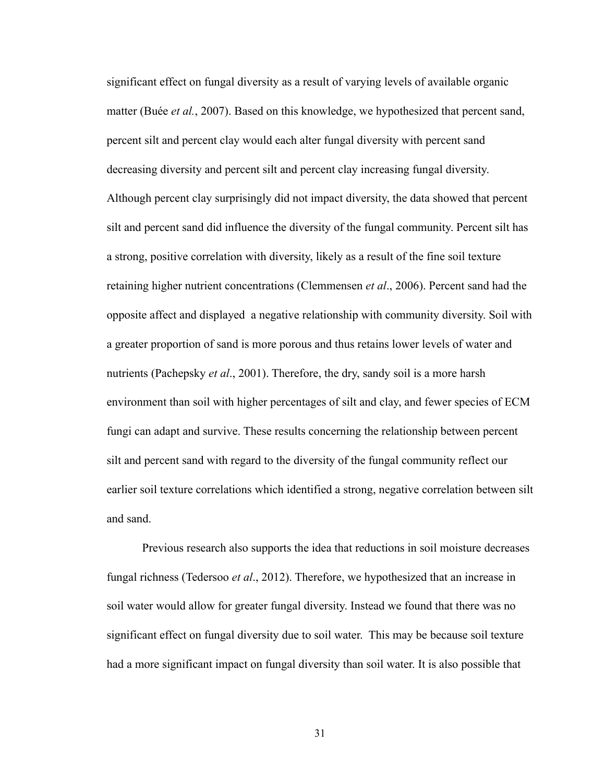significant effect on fungal diversity as a result of varying levels of available organic matter (Buée *et al.*, 2007). Based on this knowledge, we hypothesized that percent sand, percent silt and percent clay would each alter fungal diversity with percent sand decreasing diversity and percent silt and percent clay increasing fungal diversity. Although percent clay surprisingly did not impact diversity, the data showed that percent silt and percent sand did influence the diversity of the fungal community. Percent silt has a strong, positive correlation with diversity, likely as a result of the fine soil texture retaining higher nutrient concentrations (Clemmensen *et al*., 2006). Percent sand had the opposite affect and displayed a negative relationship with community diversity. Soil with a greater proportion of sand is more porous and thus retains lower levels of water and nutrients (Pachepsky *et al*., 2001). Therefore, the dry, sandy soil is a more harsh environment than soil with higher percentages of silt and clay, and fewer species of ECM fungi can adapt and survive. These results concerning the relationship between percent silt and percent sand with regard to the diversity of the fungal community reflect our earlier soil texture correlations which identified a strong, negative correlation between silt and sand.

 Previous research also supports the idea that reductions in soil moisture decreases fungal richness (Tedersoo *et al*., 2012). Therefore, we hypothesized that an increase in soil water would allow for greater fungal diversity. Instead we found that there was no significant effect on fungal diversity due to soil water. This may be because soil texture had a more significant impact on fungal diversity than soil water. It is also possible that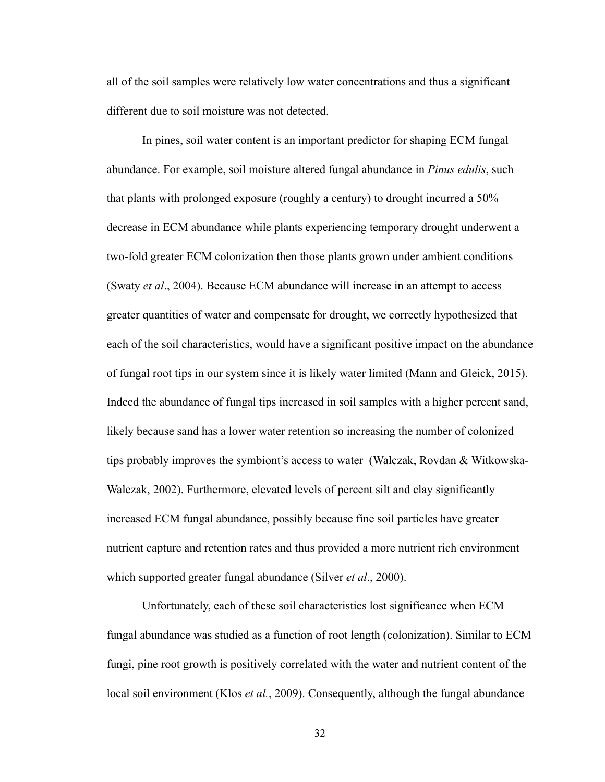all of the soil samples were relatively low water concentrations and thus a significant different due to soil moisture was not detected.

 In pines, soil water content is an important predictor for shaping ECM fungal abundance. For example, soil moisture altered fungal abundance in *Pinus edulis*, such that plants with prolonged exposure (roughly a century) to drought incurred a 50% decrease in ECM abundance while plants experiencing temporary drought underwent a two-fold greater ECM colonization then those plants grown under ambient conditions (Swaty *et al*., 2004). Because ECM abundance will increase in an attempt to access greater quantities of water and compensate for drought, we correctly hypothesized that each of the soil characteristics, would have a significant positive impact on the abundance of fungal root tips in our system since it is likely water limited (Mann and Gleick, 2015). Indeed the abundance of fungal tips increased in soil samples with a higher percent sand, likely because sand has a lower water retention so increasing the number of colonized tips probably improves the symbiont's access to water (Walczak, Rovdan & Witkowska-Walczak, 2002). Furthermore, elevated levels of percent silt and clay significantly increased ECM fungal abundance, possibly because fine soil particles have greater nutrient capture and retention rates and thus provided a more nutrient rich environment which supported greater fungal abundance (Silver *et al*., 2000).

 Unfortunately, each of these soil characteristics lost significance when ECM fungal abundance was studied as a function of root length (colonization). Similar to ECM fungi, pine root growth is positively correlated with the water and nutrient content of the local soil environment (Klos *et al.*, 2009). Consequently, although the fungal abundance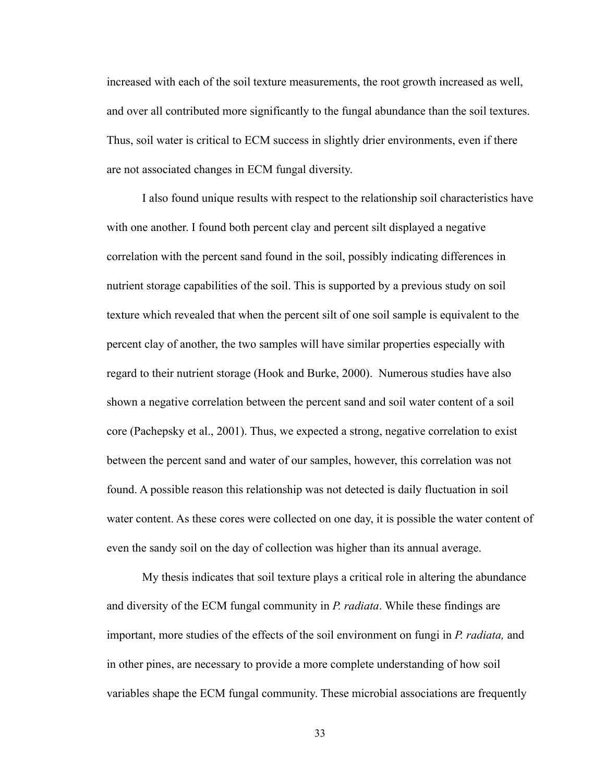increased with each of the soil texture measurements, the root growth increased as well, and over all contributed more significantly to the fungal abundance than the soil textures. Thus, soil water is critical to ECM success in slightly drier environments, even if there are not associated changes in ECM fungal diversity.

 I also found unique results with respect to the relationship soil characteristics have with one another. I found both percent clay and percent silt displayed a negative correlation with the percent sand found in the soil, possibly indicating differences in nutrient storage capabilities of the soil. This is supported by a previous study on soil texture which revealed that when the percent silt of one soil sample is equivalent to the percent clay of another, the two samples will have similar properties especially with regard to their nutrient storage (Hook and Burke, 2000). Numerous studies have also shown a negative correlation between the percent sand and soil water content of a soil core (Pachepsky et al., 2001). Thus, we expected a strong, negative correlation to exist between the percent sand and water of our samples, however, this correlation was not found. A possible reason this relationship was not detected is daily fluctuation in soil water content. As these cores were collected on one day, it is possible the water content of even the sandy soil on the day of collection was higher than its annual average.

 My thesis indicates that soil texture plays a critical role in altering the abundance and diversity of the ECM fungal community in *P. radiata*. While these findings are important, more studies of the effects of the soil environment on fungi in *P. radiata,* and in other pines, are necessary to provide a more complete understanding of how soil variables shape the ECM fungal community. These microbial associations are frequently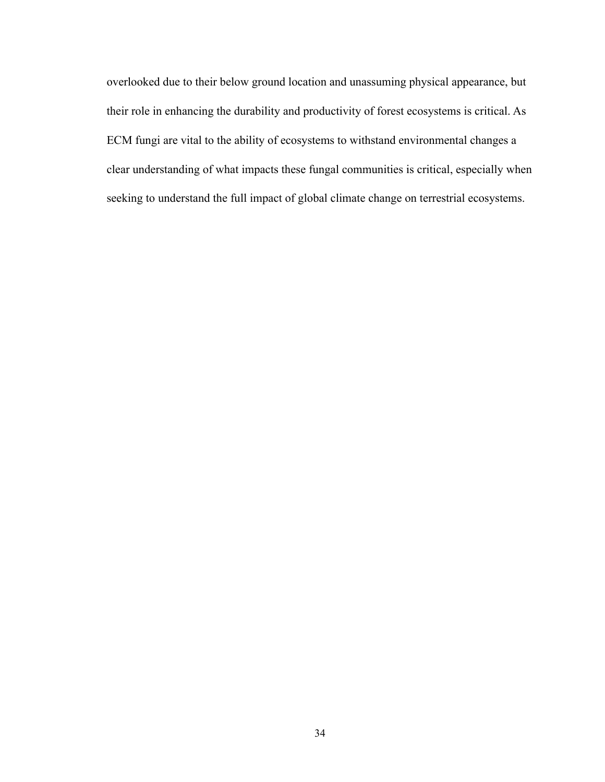overlooked due to their below ground location and unassuming physical appearance, but their role in enhancing the durability and productivity of forest ecosystems is critical. As ECM fungi are vital to the ability of ecosystems to withstand environmental changes a clear understanding of what impacts these fungal communities is critical, especially when seeking to understand the full impact of global climate change on terrestrial ecosystems.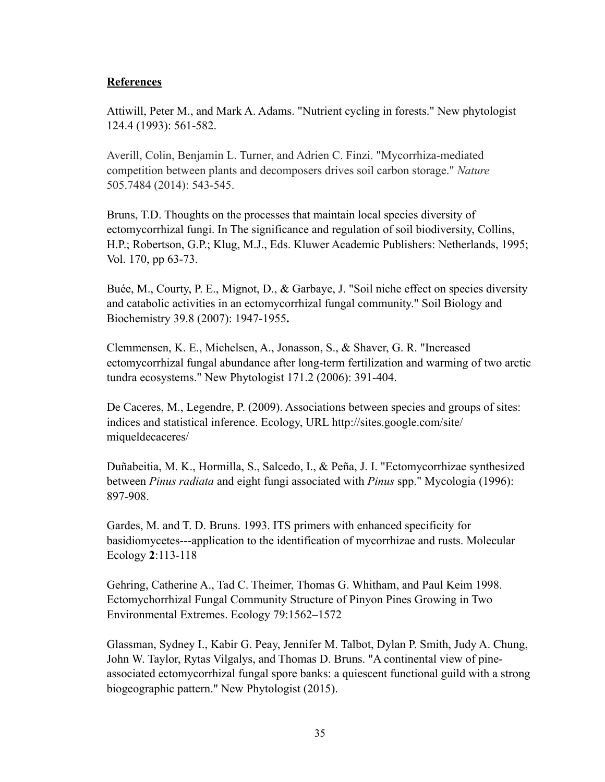## **References**

Attiwill, Peter M., and Mark A. Adams. "Nutrient cycling in forests." New phytologist 124.4 (1993): 561-582.

Averill, Colin, Benjamin L. Turner, and Adrien C. Finzi. "Mycorrhiza-mediated competition between plants and decomposers drives soil carbon storage." *Nature* 505.7484 (2014): 543-545.

Bruns, T.D. Thoughts on the processes that maintain local species diversity of ectomycorrhizal fungi. In The significance and regulation of soil biodiversity, Collins, H.P.; Robertson, G.P.; Klug, M.J., Eds. Kluwer Academic Publishers: Netherlands, 1995; Vol. 170, pp 63-73.

Buée, M., Courty, P. E., Mignot, D., & Garbaye, J. "Soil niche effect on species diversity and catabolic activities in an ectomycorrhizal fungal community." Soil Biology and Biochemistry 39.8 (2007): 1947-1955**.**

Clemmensen, K. E., Michelsen, A., Jonasson, S., & Shaver, G. R. "Increased ectomycorrhizal fungal abundance after long-term fertilization and warming of two arctic tundra ecosystems." New Phytologist 171.2 (2006): 391-404.

De Caceres, M., Legendre, P. (2009). Associations between species and groups of sites: [indices and statistical inference. Ecology, URL http://sites.google.com/site/](http://sites.google.com/site/miqueldecaceres/) miqueldecaceres/

Duñabeitia, M. K., Hormilla, S., Salcedo, I., & Peña, J. I. "Ectomycorrhizae synthesized between *Pinus radiata* and eight fungi associated with *Pinus* spp." Mycologia (1996): 897-908.

Gardes, M. and T. D. Bruns. 1993. ITS primers with enhanced specificity for basidiomycetes---application to the identification of mycorrhizae and rusts. Molecular Ecology **2**:113-118

Gehring, Catherine A., Tad C. Theimer, Thomas G. Whitham, and Paul Keim 1998. Ectomychorrhizal Fungal Community Structure of Pinyon Pines Growing in Two Environmental Extremes. Ecology 79:1562–1572

Glassman, Sydney I., Kabir G. Peay, Jennifer M. Talbot, Dylan P. Smith, Judy A. Chung, John W. Taylor, Rytas Vilgalys, and Thomas D. Bruns. "A continental view of pineassociated ectomycorrhizal fungal spore banks: a quiescent functional guild with a strong biogeographic pattern." New Phytologist (2015).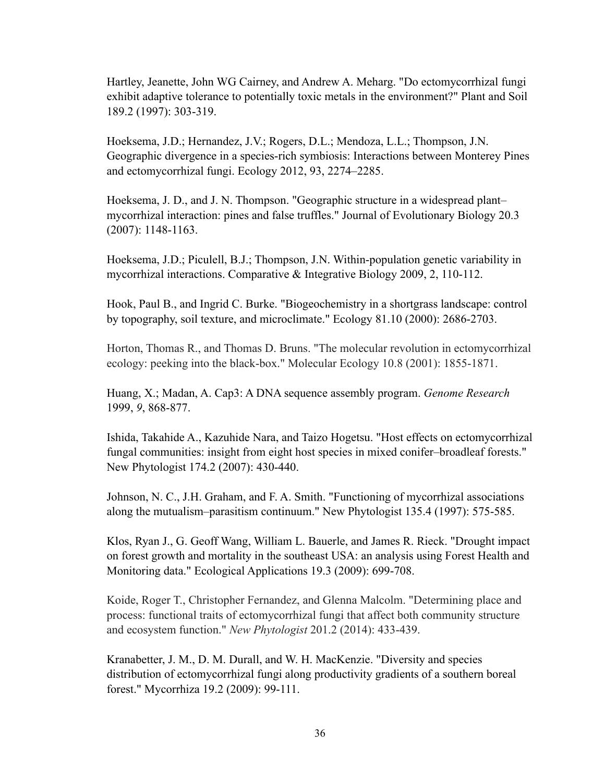Hartley, Jeanette, John WG Cairney, and Andrew A. Meharg. "Do ectomycorrhizal fungi exhibit adaptive tolerance to potentially toxic metals in the environment?" Plant and Soil 189.2 (1997): 303-319.

Hoeksema, J.D.; Hernandez, J.V.; Rogers, D.L.; Mendoza, L.L.; Thompson, J.N. Geographic divergence in a species-rich symbiosis: Interactions between Monterey Pines and ectomycorrhizal fungi. Ecology 2012, 93, 2274–2285.

Hoeksema, J. D., and J. N. Thompson. "Geographic structure in a widespread plant– mycorrhizal interaction: pines and false truffles." Journal of Evolutionary Biology 20.3 (2007): 1148-1163.

Hoeksema, J.D.; Piculell, B.J.; Thompson, J.N. Within-population genetic variability in mycorrhizal interactions. Comparative & Integrative Biology 2009, 2, 110-112.

Hook, Paul B., and Ingrid C. Burke. "Biogeochemistry in a shortgrass landscape: control by topography, soil texture, and microclimate." Ecology 81.10 (2000): 2686-2703.

Horton, Thomas R., and Thomas D. Bruns. "The molecular revolution in ectomycorrhizal ecology: peeking into the black-box." Molecular Ecology 10.8 (2001): 1855-1871.

Huang, X.; Madan, A. Cap3: A DNA sequence assembly program. *Genome Research*  1999, *9*, 868-877.

Ishida, Takahide A., Kazuhide Nara, and Taizo Hogetsu. "Host effects on ectomycorrhizal fungal communities: insight from eight host species in mixed conifer–broadleaf forests." New Phytologist 174.2 (2007): 430-440.

Johnson, N. C., J.H. Graham, and F. A. Smith. "Functioning of mycorrhizal associations along the mutualism–parasitism continuum." New Phytologist 135.4 (1997): 575-585.

Klos, Ryan J., G. Geoff Wang, William L. Bauerle, and James R. Rieck. "Drought impact on forest growth and mortality in the southeast USA: an analysis using Forest Health and Monitoring data." Ecological Applications 19.3 (2009): 699-708.

Koide, Roger T., Christopher Fernandez, and Glenna Malcolm. "Determining place and process: functional traits of ectomycorrhizal fungi that affect both community structure and ecosystem function." *New Phytologist* 201.2 (2014): 433-439.

Kranabetter, J. M., D. M. Durall, and W. H. MacKenzie. "Diversity and species distribution of ectomycorrhizal fungi along productivity gradients of a southern boreal forest." Mycorrhiza 19.2 (2009): 99-111.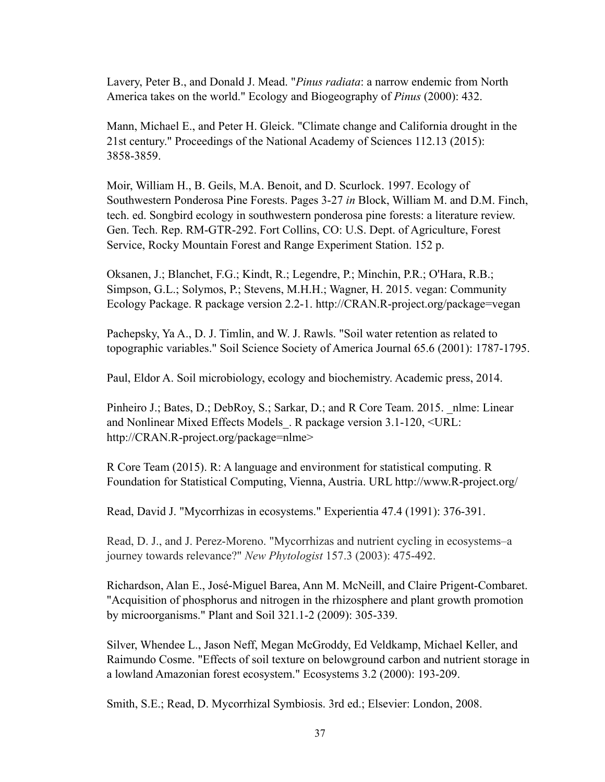Lavery, Peter B., and Donald J. Mead. "*Pinus radiata*: a narrow endemic from North America takes on the world." Ecology and Biogeography of *Pinus* (2000): 432.

Mann, Michael E., and Peter H. Gleick. "Climate change and California drought in the 21st century." Proceedings of the National Academy of Sciences 112.13 (2015): 3858-3859.

Moir, William H., B. Geils, M.A. Benoit, and D. Scurlock. 1997. Ecology of Southwestern Ponderosa Pine Forests. Pages 3-27 *in* Block, William M. and D.M. Finch, tech. ed. Songbird ecology in southwestern ponderosa pine forests: a literature review. Gen. Tech. Rep. RM-GTR-292. Fort Collins, CO: U.S. Dept. of Agriculture, Forest Service, Rocky Mountain Forest and Range Experiment Station. 152 p.

Oksanen, J.; Blanchet, F.G.; Kindt, R.; Legendre, P.; Minchin, P.R.; O'Hara, R.B.; Simpson, G.L.; Solymos, P.; Stevens, M.H.H.; Wagner, H. 2015. vegan: Community Ecology Package. R package version 2.2-1. http://CRAN.R-project.org/package=vegan

Pachepsky, Ya A., D. J. Timlin, and W. J. Rawls. "Soil water retention as related to topographic variables." Soil Science Society of America Journal 65.6 (2001): 1787-1795.

Paul, Eldor A. Soil microbiology, ecology and biochemistry. Academic press, 2014.

Pinheiro J.; Bates, D.; DebRoy, S.; Sarkar, D.; and R Core Team. 2015. \_nlme: Linear and Nonlinear Mixed Effects Models\_. R package version 3.1-120, <URL: http://CRAN.R-project.org/package=nlme>

R Core Team (2015). R: A language and environment for statistical computing. R Foundation for Statistical Computing, Vienna, Austria. URL http://www.R-project.org/

Read, David J. "Mycorrhizas in ecosystems." Experientia 47.4 (1991): 376-391.

Read, D. J., and J. Perez-Moreno. "Mycorrhizas and nutrient cycling in ecosystems–a journey towards relevance?" *New Phytologist* 157.3 (2003): 475-492.

Richardson, Alan E., José-Miguel Barea, Ann M. McNeill, and Claire Prigent-Combaret. "Acquisition of phosphorus and nitrogen in the rhizosphere and plant growth promotion by microorganisms." Plant and Soil 321.1-2 (2009): 305-339.

Silver, Whendee L., Jason Neff, Megan McGroddy, Ed Veldkamp, Michael Keller, and Raimundo Cosme. "Effects of soil texture on belowground carbon and nutrient storage in a lowland Amazonian forest ecosystem." Ecosystems 3.2 (2000): 193-209.

Smith, S.E.; Read, D. Mycorrhizal Symbiosis. 3rd ed.; Elsevier: London, 2008.